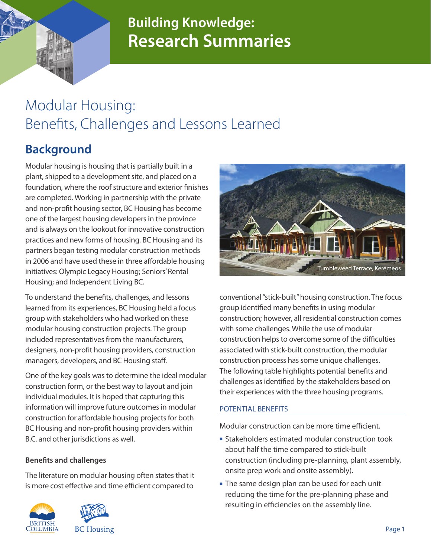## **Building Knowledge: Research Summaries**

# Modular Housing: Benefits, Challenges and Lessons Learned

### **Background**

Modular housing is housing that is partially built in a plant, shipped to a development site, and placed on a foundation, where the roof structure and exterior finishes are completed. Working in partnership with the private and non-profit housing sector, BC Housing has become one of the largest housing developers in the province and is always on the lookout for innovative construction practices and new forms of housing. BC Housing and its partners began testing modular construction methods in 2006 and have used these in three affordable housing initiatives: Olympic Legacy Housing; Seniors' Rental Housing; and Independent Living BC.

To understand the benefits, challenges, and lessons learned from its experiences, BC Housing held a focus group with stakeholders who had worked on these modular housing construction projects. The group included representatives from the manufacturers, designers, non-profit housing providers, construction managers, developers, and BC Housing staff.

One of the key goals was to determine the ideal modular construction form, or the best way to layout and join individual modules. It is hoped that capturing this information will improve future outcomes in modular construction for affordable housing projects for both BC Housing and non-profit housing providers within B.C. and other jurisdictions as well.

#### **Benefits and challenges**

The literature on modular housing often states that it is more cost effective and time efficient compared to







conventional "stick-built" housing construction. The focus group identified many benefits in using modular construction; however, all residential construction comes with some challenges. While the use of modular construction helps to overcome some of the difficulties associated with stick-built construction, the modular construction process has some unique challenges. The following table highlights potential benefits and challenges as identified by the stakeholders based on their experiences with the three housing programs.

#### POTENTIAL BENEFITS

Modular construction can be more time efficient.

- **Stakeholders estimated modular construction took** about half the time compared to stick-built construction (including pre-planning, plant assembly, onsite prep work and onsite assembly).
- The same design plan can be used for each unit reducing the time for the pre-planning phase and resulting in efficiencies on the assembly line.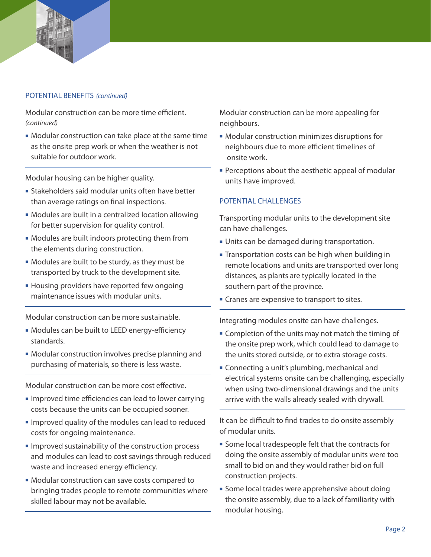

#### POTENTIAL BENEFITS (continued)

Modular construction can be more time efficient. *(continued)*

• Modular construction can take place at the same time as the onsite prep work or when the weather is not suitable for outdoor work.

Modular housing can be higher quality.

- **Exercise Stakeholders said modular units often have better** than average ratings on final inspections.
- Modules are built in a centralized location allowing for better supervision for quality control.
- Modules are built indoors protecting them from the elements during construction.
- Modules are built to be sturdy, as they must be transported by truck to the development site.
- **Housing providers have reported few ongoing** maintenance issues with modular units.

Modular construction can be more sustainable.

- Modules can be built to LEED energy-efficiency standards.
- Modular construction involves precise planning and purchasing of materials, so there is less waste.

Modular construction can be more cost effective.

- **n** Improved time efficiencies can lead to lower carrying costs because the units can be occupied sooner.
- **n** Improved quality of the modules can lead to reduced costs for ongoing maintenance.
- **n** Improved sustainability of the construction process and modules can lead to cost savings through reduced waste and increased energy efficiency.
- Modular construction can save costs compared to bringing trades people to remote communities where skilled labour may not be available.

Modular construction can be more appealing for neighbours.

- Modular construction minimizes disruptions for neighbours due to more efficient timelines of onsite work.
- **Perceptions about the aesthetic appeal of modular** units have improved.

#### Potential challenges

Transporting modular units to the development site can have challenges.

- **Units can be damaged during transportation.**
- **Transportation costs can be high when building in** remote locations and units are transported over long distances, as plants are typically located in the southern part of the province.
- **Cranes are expensive to transport to sites.**

Integrating modules onsite can have challenges.

- **Completion of the units may not match the timing of** the onsite prep work, which could lead to damage to the units stored outside, or to extra storage costs.
- **Example 2** Connecting a unit's plumbing, mechanical and electrical systems onsite can be challenging, especially when using two-dimensional drawings and the units arrive with the walls already sealed with drywall.

It can be difficult to find trades to do onsite assembly of modular units.

- **Some local tradespeople felt that the contracts for** doing the onsite assembly of modular units were too small to bid on and they would rather bid on full construction projects.
- Some local trades were apprehensive about doing the onsite assembly, due to a lack of familiarity with modular housing.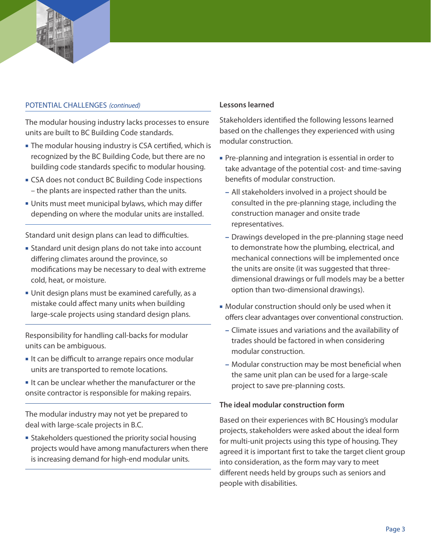#### POTENTIAL CHALLENGES (continued)

The modular housing industry lacks processes to ensure units are built to BC Building Code standards.

- **The modular housing industry is CSA certified, which is** recognized by the BC Building Code, but there are no building code standards specific to modular housing.
- **EXA does not conduct BC Building Code inspections** – the plants are inspected rather than the units.
- **Units must meet municipal bylaws, which may differ** depending on where the modular units are installed.

Standard unit design plans can lead to difficulties.

- **Example 1** Standard unit design plans do not take into account differing climates around the province, so modifications may be necessary to deal with extreme cold, heat, or moisture.
- <sup>n</sup> Unit design plans must be examined carefully, as a mistake could affect many units when building large-scale projects using standard design plans.

Responsibility for handling call-backs for modular units can be ambiguous.

- It can be difficult to arrange repairs once modular units are transported to remote locations.
- $\blacksquare$  It can be unclear whether the manufacturer or the onsite contractor is responsible for making repairs.

The modular industry may not yet be prepared to deal with large-scale projects in B.C.

**Example 1** Stakeholders questioned the priority social housing projects would have among manufacturers when there is increasing demand for high-end modular units.

#### **Lessons learned**

Stakeholders identified the following lessons learned based on the challenges they experienced with using modular construction.

- Pre-planning and integration is essential in order to take advantage of the potential cost- and time-saving benefits of modular construction.
	- **–** All stakeholders involved in a project should be consulted in the pre-planning stage, including the construction manager and onsite trade representatives.
	- **–** Drawings developed in the pre-planning stage need to demonstrate how the plumbing, electrical, and mechanical connections will be implemented once the units are onsite (it was suggested that threedimensional drawings or full models may be a better option than two-dimensional drawings).
- Modular construction should only be used when it offers clear advantages over conventional construction.
	- **–** Climate issues and variations and the availability of trades should be factored in when considering modular construction.
	- **–** Modular construction may be most beneficial when the same unit plan can be used for a large-scale project to save pre-planning costs.

#### **The ideal modular construction form**

Based on their experiences with BC Housing's modular projects, stakeholders were asked about the ideal form for multi-unit projects using this type of housing. They agreed it is important first to take the target client group into consideration, as the form may vary to meet different needs held by groups such as seniors and people with disabilities.